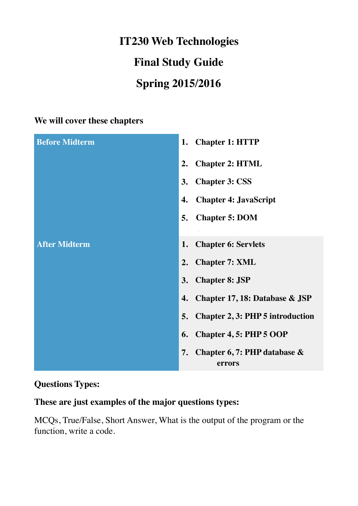# **IT230 Web Technologies Final Study Guide Spring 2015/2016**

#### **We will cover these chapters**

| <b>Before Midterm</b> | <b>Chapter 1: HTTP</b><br>1.                  |
|-----------------------|-----------------------------------------------|
|                       | <b>Chapter 2: HTML</b><br>2.                  |
|                       | <b>Chapter 3: CSS</b><br>3.                   |
|                       | <b>Chapter 4: JavaScript</b><br>4.            |
|                       | <b>Chapter 5: DOM</b><br>5.                   |
|                       |                                               |
| <b>After Midterm</b>  | <b>Chapter 6: Servlets</b><br>1.              |
|                       | <b>Chapter 7: XML</b><br>2.                   |
|                       | <b>Chapter 8: JSP</b><br>3.                   |
|                       | Chapter 17, 18: Database & JSP<br>4.          |
|                       | <b>Chapter 2, 3: PHP 5 introduction</b><br>5. |
|                       | <b>Chapter 4, 5: PHP 5 OOP</b><br>6.          |
|                       | Chapter 6, 7: PHP database &<br>7.<br>errors  |

### **Questions Types:**

## **These are just examples of the major questions types:**

MCQs, True/False, Short Answer, What is the output of the program or the function, write a code.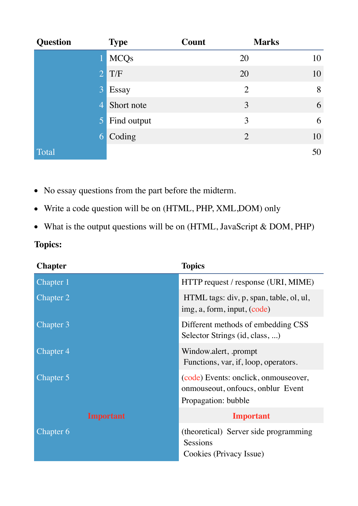| <b>Question</b> | <b>Type</b>   | Count          | <b>Marks</b> |
|-----------------|---------------|----------------|--------------|
|                 | <b>MCQs</b>   | 20             | 10           |
| 2               | T/F           | 20             | 10           |
| $\overline{3}$  | Essay         | $\overline{2}$ | 8            |
| $\overline{4}$  | Short note    | 3              | 6            |
|                 | 5 Find output | 3              | 6            |
| 6               | Coding        | $\overline{2}$ | 10           |
| Total           |               |                | 50           |

- No essay questions from the part before the midterm.
- Write a code question will be on (HTML, PHP, XML, DOM) only
- What is the output questions will be on (HTML, JavaScript & DOM, PHP)

## **Topics:**

| <b>Chapter</b>   | <b>Topics</b>                                                                |
|------------------|------------------------------------------------------------------------------|
| Chapter 1        | HTTP request / response (URI, MIME)                                          |
| Chapter 2        | HTML tags: div, p, span, table, ol, ul,<br>img, a, form, input, (code)       |
| Chapter 3        | Different methods of embedding CSS<br>Selector Strings (id, class, )         |
| Chapter 4        | Window.alert, .prompt<br>Functions, var, if, loop, operators.                |
| Chapter 5        | (code) Events: onclick, onmouseover,<br>onmouse out, on foucs, on blur Event |
|                  | Propagation: bubble                                                          |
| <b>Important</b> | <b>Important</b>                                                             |
| Chapter 6        | (theoretical) Server side programming<br>Sessions<br>Cookies (Privacy Issue) |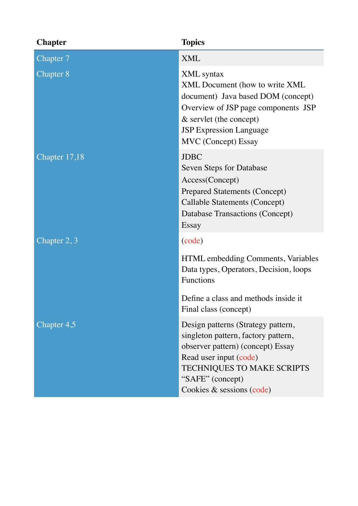| <b>Chapter</b>   | <b>Topics</b>                                                                                                                                                                                                                  |
|------------------|--------------------------------------------------------------------------------------------------------------------------------------------------------------------------------------------------------------------------------|
| Chapter 7        | <b>XML</b>                                                                                                                                                                                                                     |
| <b>Chapter 8</b> | <b>XML</b> syntax<br>XML Document (how to write XML)<br>document) Java based DOM (concept)<br>Overview of JSP page components JSP<br>$&$ servlet (the concept)<br><b>JSP Expression Language</b><br><b>MVC</b> (Concept) Essay |
| Chapter 17,18    | <b>JDBC</b><br>Seven Steps for Database<br>Access(Concept)<br><b>Prepared Statements (Concept)</b><br>Callable Statements (Concept)<br>Database Transactions (Concept)<br>Essay                                                |
| Chapter 2, 3     | (code)                                                                                                                                                                                                                         |
|                  | HTML embedding Comments, Variables<br>Data types, Operators, Decision, loops<br>Functions                                                                                                                                      |
|                  | Define a class and methods inside it<br>Final class (concept)                                                                                                                                                                  |
| Chapter 4,5      | Design patterns (Strategy pattern,<br>singleton pattern, factory pattern,<br>observer pattern) (concept) Essay<br>Read user input (code)<br><b>TECHNIQUES TO MAKE SCRIPTS</b><br>"SAFE" (concept)<br>Cookies & sessions (code) |